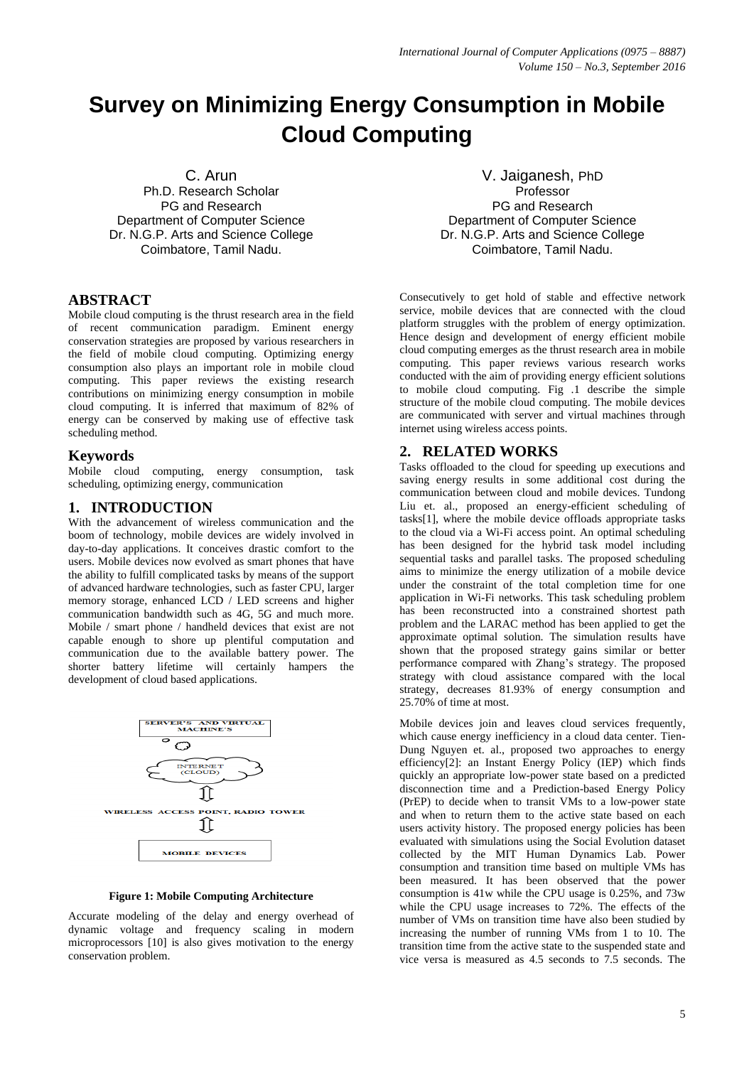# **Survey on Minimizing Energy Consumption in Mobile Cloud Computing**

C. Arun

Ph.D. Research Scholar PG and Research Department of Computer Science Dr. N.G.P. Arts and Science College Coimbatore, Tamil Nadu.

### **ABSTRACT**

Mobile cloud computing is the thrust research area in the field of recent communication paradigm. Eminent energy conservation strategies are proposed by various researchers in the field of mobile cloud computing. Optimizing energy consumption also plays an important role in mobile cloud computing. This paper reviews the existing research contributions on minimizing energy consumption in mobile cloud computing. It is inferred that maximum of 82% of energy can be conserved by making use of effective task scheduling method.

### **Keywords**

Mobile cloud computing, energy consumption, task scheduling, optimizing energy, communication

### **1. INTRODUCTION**

With the advancement of wireless communication and the boom of technology, mobile devices are widely involved in day-to-day applications. It conceives drastic comfort to the users. Mobile devices now evolved as smart phones that have the ability to fulfill complicated tasks by means of the support of advanced hardware technologies, such as faster CPU, larger memory storage, enhanced LCD / LED screens and higher communication bandwidth such as 4G, 5G and much more. Mobile / smart phone / handheld devices that exist are not capable enough to shore up plentiful computation and communication due to the available battery power. The shorter battery lifetime will certainly hampers the development of cloud based applications.



**Figure 1: Mobile Computing Architecture**

Accurate modeling of the delay and energy overhead of dynamic voltage and frequency scaling in modern microprocessors [10] is also gives motivation to the energy conservation problem.

V. Jaiganesh, PhD Professor PG and Research Department of Computer Science Dr. N.G.P. Arts and Science College Coimbatore, Tamil Nadu.

Consecutively to get hold of stable and effective network service, mobile devices that are connected with the cloud platform struggles with the problem of energy optimization. Hence design and development of energy efficient mobile cloud computing emerges as the thrust research area in mobile computing. This paper reviews various research works conducted with the aim of providing energy efficient solutions to mobile cloud computing. Fig .1 describe the simple structure of the mobile cloud computing. The mobile devices are communicated with server and virtual machines through internet using wireless access points.

## **2. RELATED WORKS**

Tasks offloaded to the cloud for speeding up executions and saving energy results in some additional cost during the communication between cloud and mobile devices. Tundong Liu et. al., proposed an energy-efficient scheduling of tasks[1], where the mobile device offloads appropriate tasks to the cloud via a Wi-Fi access point. An optimal scheduling has been designed for the hybrid task model including sequential tasks and parallel tasks. The proposed scheduling aims to minimize the energy utilization of a mobile device under the constraint of the total completion time for one application in Wi-Fi networks. This task scheduling problem has been reconstructed into a constrained shortest path problem and the LARAC method has been applied to get the approximate optimal solution. The simulation results have shown that the proposed strategy gains similar or better performance compared with Zhang's strategy. The proposed strategy with cloud assistance compared with the local strategy, decreases 81.93% of energy consumption and 25.70% of time at most.

Mobile devices join and leaves cloud services frequently, which cause energy inefficiency in a cloud data center. Tien-Dung Nguyen et. al., proposed two approaches to energy efficiency[2]: an Instant Energy Policy (IEP) which finds quickly an appropriate low-power state based on a predicted disconnection time and a Prediction-based Energy Policy (PrEP) to decide when to transit VMs to a low-power state and when to return them to the active state based on each users activity history. The proposed energy policies has been evaluated with simulations using the Social Evolution dataset collected by the MIT Human Dynamics Lab. Power consumption and transition time based on multiple VMs has been measured. It has been observed that the power consumption is 41w while the CPU usage is 0.25%, and 73w while the CPU usage increases to 72%. The effects of the number of VMs on transition time have also been studied by increasing the number of running VMs from 1 to 10. The transition time from the active state to the suspended state and vice versa is measured as 4.5 seconds to 7.5 seconds. The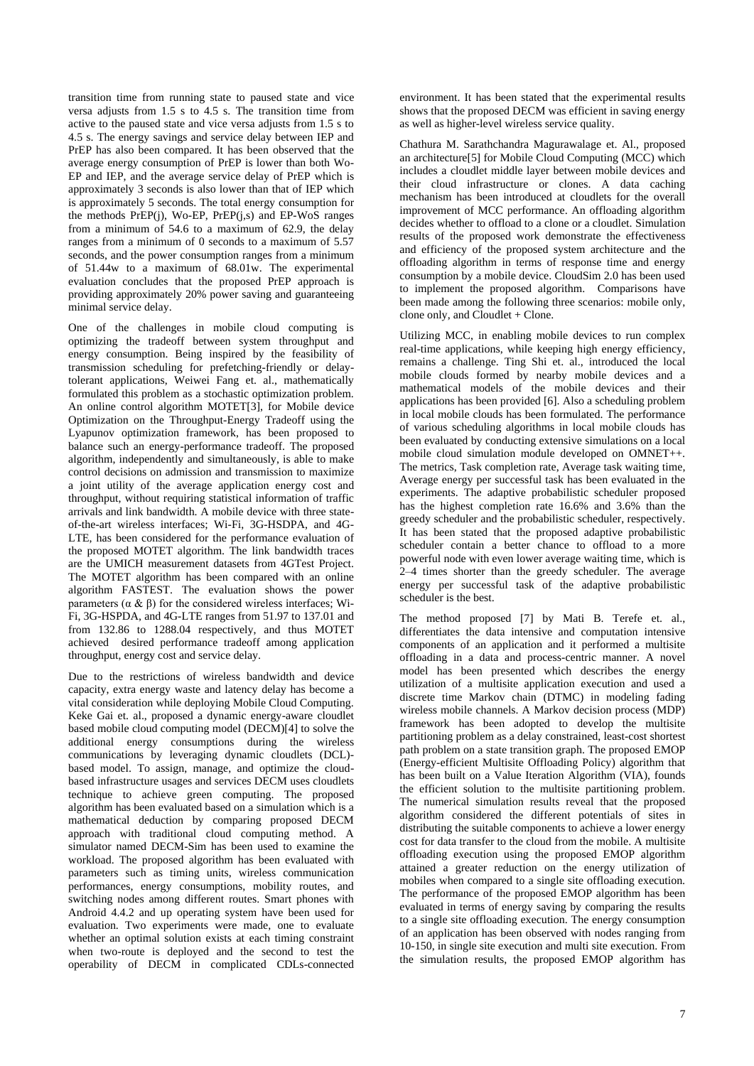transition time from running state to paused state and vice versa adjusts from 1.5 s to 4.5 s. The transition time from active to the paused state and vice versa adjusts from 1.5 s to 4.5 s. The energy savings and service delay between IEP and PrEP has also been compared. It has been observed that the average energy consumption of PrEP is lower than both Wo-EP and IEP, and the average service delay of PrEP which is approximately 3 seconds is also lower than that of IEP which is approximately 5 seconds. The total energy consumption for the methods PrEP(j), Wo-EP, PrEP(j,s) and EP-WoS ranges from a minimum of 54.6 to a maximum of 62.9, the delay ranges from a minimum of 0 seconds to a maximum of 5.57 seconds, and the power consumption ranges from a minimum of 51.44w to a maximum of 68.01w. The experimental evaluation concludes that the proposed PrEP approach is providing approximately 20% power saving and guaranteeing minimal service delay.

One of the challenges in mobile cloud computing is optimizing the tradeoff between system throughput and energy consumption. Being inspired by the feasibility of transmission scheduling for prefetching-friendly or delaytolerant applications, Weiwei Fang et. al., mathematically formulated this problem as a stochastic optimization problem. An online control algorithm MOTET[3], for Mobile device Optimization on the Throughput-Energy Tradeoff using the Lyapunov optimization framework, has been proposed to balance such an energy-performance tradeoff. The proposed algorithm, independently and simultaneously, is able to make control decisions on admission and transmission to maximize a joint utility of the average application energy cost and throughput, without requiring statistical information of traffic arrivals and link bandwidth. A mobile device with three stateof-the-art wireless interfaces; Wi-Fi, 3G-HSDPA, and 4G-LTE, has been considered for the performance evaluation of the proposed MOTET algorithm. The link bandwidth traces are the UMICH measurement datasets from 4GTest Project. The MOTET algorithm has been compared with an online algorithm FASTEST. The evaluation shows the power parameters ( $\alpha \& \beta$ ) for the considered wireless interfaces; Wi-Fi, 3G-HSPDA, and 4G-LTE ranges from 51.97 to 137.01 and from 132.86 to 1288.04 respectively, and thus MOTET achieved desired performance tradeoff among application throughput, energy cost and service delay.

Due to the restrictions of wireless bandwidth and device capacity, extra energy waste and latency delay has become a vital consideration while deploying Mobile Cloud Computing. Keke Gai et. al., proposed a dynamic energy-aware cloudlet based mobile cloud computing model (DECM)[4] to solve the additional energy consumptions during the wireless communications by leveraging dynamic cloudlets (DCL) based model. To assign, manage, and optimize the cloudbased infrastructure usages and services DECM uses cloudlets technique to achieve green computing. The proposed algorithm has been evaluated based on a simulation which is a mathematical deduction by comparing proposed DECM approach with traditional cloud computing method. A simulator named DECM-Sim has been used to examine the workload. The proposed algorithm has been evaluated with parameters such as timing units, wireless communication performances, energy consumptions, mobility routes, and switching nodes among different routes. Smart phones with Android 4.4.2 and up operating system have been used for evaluation. Two experiments were made, one to evaluate whether an optimal solution exists at each timing constraint when two-route is deployed and the second to test the operability of DECM in complicated CDLs-connected

environment. It has been stated that the experimental results shows that the proposed DECM was efficient in saving energy as well as higher-level wireless service quality.

Chathura M. Sarathchandra Magurawalage et. Al., proposed an architecture[5] for Mobile Cloud Computing (MCC) which includes a cloudlet middle layer between mobile devices and their cloud infrastructure or clones. A data caching mechanism has been introduced at cloudlets for the overall improvement of MCC performance. An offloading algorithm decides whether to offload to a clone or a cloudlet. Simulation results of the proposed work demonstrate the effectiveness and efficiency of the proposed system architecture and the offloading algorithm in terms of response time and energy consumption by a mobile device. CloudSim 2.0 has been used to implement the proposed algorithm. Comparisons have been made among the following three scenarios: mobile only, clone only, and Cloudlet + Clone.

Utilizing MCC, in enabling mobile devices to run complex real-time applications, while keeping high energy efficiency, remains a challenge. Ting Shi et. al., introduced the local mobile clouds formed by nearby mobile devices and a mathematical models of the mobile devices and their applications has been provided [6]. Also a scheduling problem in local mobile clouds has been formulated. The performance of various scheduling algorithms in local mobile clouds has been evaluated by conducting extensive simulations on a local mobile cloud simulation module developed on OMNET++. The metrics, Task completion rate, Average task waiting time, Average energy per successful task has been evaluated in the experiments. The adaptive probabilistic scheduler proposed has the highest completion rate 16.6% and 3.6% than the greedy scheduler and the probabilistic scheduler, respectively. It has been stated that the proposed adaptive probabilistic scheduler contain a better chance to offload to a more powerful node with even lower average waiting time, which is 2–4 times shorter than the greedy scheduler. The average energy per successful task of the adaptive probabilistic scheduler is the best.

The method proposed [7] by Mati B. Terefe et. al., differentiates the data intensive and computation intensive components of an application and it performed a multisite offloading in a data and process-centric manner. A novel model has been presented which describes the energy utilization of a multisite application execution and used a discrete time Markov chain (DTMC) in modeling fading wireless mobile channels. A Markov decision process (MDP) framework has been adopted to develop the multisite partitioning problem as a delay constrained, least-cost shortest path problem on a state transition graph. The proposed EMOP (Energy-efficient Multisite Offloading Policy) algorithm that has been built on a Value Iteration Algorithm (VIA), founds the efficient solution to the multisite partitioning problem. The numerical simulation results reveal that the proposed algorithm considered the different potentials of sites in distributing the suitable components to achieve a lower energy cost for data transfer to the cloud from the mobile. A multisite offloading execution using the proposed EMOP algorithm attained a greater reduction on the energy utilization of mobiles when compared to a single site offloading execution. The performance of the proposed EMOP algorithm has been evaluated in terms of energy saving by comparing the results to a single site offloading execution. The energy consumption of an application has been observed with nodes ranging from 10-150, in single site execution and multi site execution. From the simulation results, the proposed EMOP algorithm has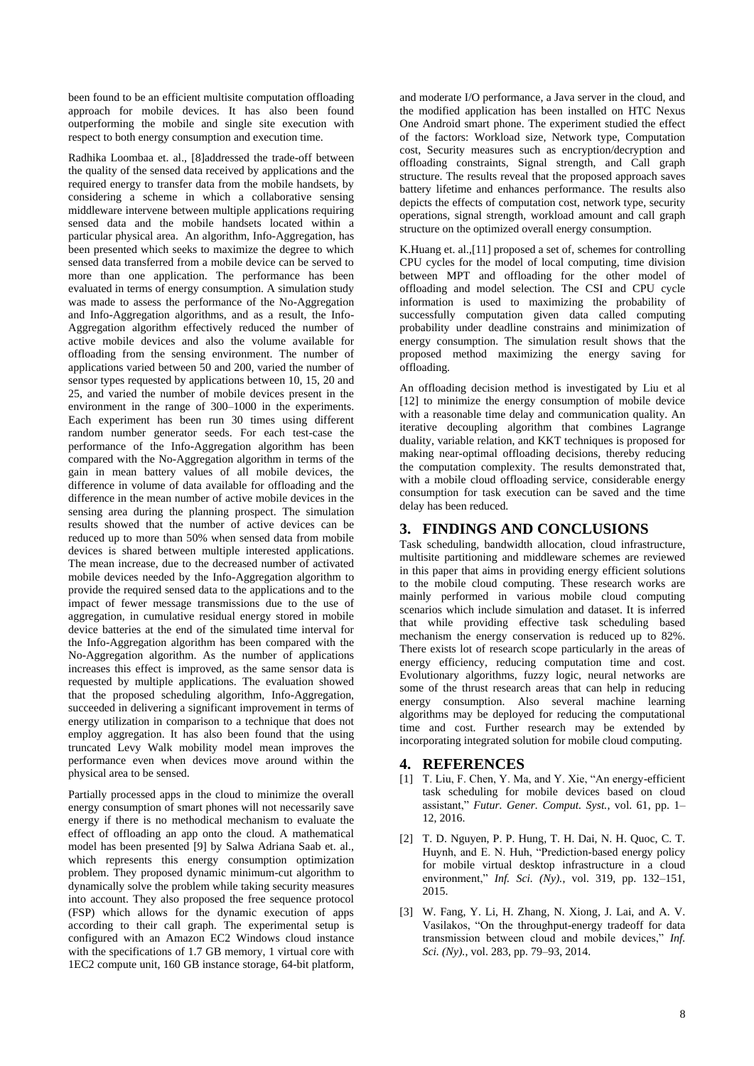been found to be an efficient multisite computation offloading approach for mobile devices. It has also been found outperforming the mobile and single site execution with respect to both energy consumption and execution time.

Radhika Loombaa et. al., [8]addressed the trade-off between the quality of the sensed data received by applications and the required energy to transfer data from the mobile handsets, by considering a scheme in which a collaborative sensing middleware intervene between multiple applications requiring sensed data and the mobile handsets located within a particular physical area. An algorithm, Info-Aggregation, has been presented which seeks to maximize the degree to which sensed data transferred from a mobile device can be served to more than one application. The performance has been evaluated in terms of energy consumption. A simulation study was made to assess the performance of the No-Aggregation and Info-Aggregation algorithms, and as a result, the Info-Aggregation algorithm effectively reduced the number of active mobile devices and also the volume available for offloading from the sensing environment. The number of applications varied between 50 and 200, varied the number of sensor types requested by applications between 10, 15, 20 and 25, and varied the number of mobile devices present in the environment in the range of 300–1000 in the experiments. Each experiment has been run 30 times using different random number generator seeds. For each test-case the performance of the Info-Aggregation algorithm has been compared with the No-Aggregation algorithm in terms of the gain in mean battery values of all mobile devices, the difference in volume of data available for offloading and the difference in the mean number of active mobile devices in the sensing area during the planning prospect. The simulation results showed that the number of active devices can be reduced up to more than 50% when sensed data from mobile devices is shared between multiple interested applications. The mean increase, due to the decreased number of activated mobile devices needed by the Info-Aggregation algorithm to provide the required sensed data to the applications and to the impact of fewer message transmissions due to the use of aggregation, in cumulative residual energy stored in mobile device batteries at the end of the simulated time interval for the Info-Aggregation algorithm has been compared with the No-Aggregation algorithm. As the number of applications increases this effect is improved, as the same sensor data is requested by multiple applications. The evaluation showed that the proposed scheduling algorithm, Info-Aggregation, succeeded in delivering a significant improvement in terms of energy utilization in comparison to a technique that does not employ aggregation. It has also been found that the using truncated Levy Walk mobility model mean improves the performance even when devices move around within the physical area to be sensed.

Partially processed apps in the cloud to minimize the overall energy consumption of smart phones will not necessarily save energy if there is no methodical mechanism to evaluate the effect of offloading an app onto the cloud. A mathematical model has been presented [9] by Salwa Adriana Saab et. al., which represents this energy consumption optimization problem. They proposed dynamic minimum-cut algorithm to dynamically solve the problem while taking security measures into account. They also proposed the free sequence protocol (FSP) which allows for the dynamic execution of apps according to their call graph. The experimental setup is configured with an Amazon EC2 Windows cloud instance with the specifications of 1.7 GB memory, 1 virtual core with 1EC2 compute unit, 160 GB instance storage, 64-bit platform, and moderate I/O performance, a Java server in the cloud, and the modified application has been installed on HTC Nexus One Android smart phone. The experiment studied the effect of the factors: Workload size, Network type, Computation cost, Security measures such as encryption/decryption and offloading constraints, Signal strength, and Call graph structure. The results reveal that the proposed approach saves battery lifetime and enhances performance. The results also depicts the effects of computation cost, network type, security operations, signal strength, workload amount and call graph structure on the optimized overall energy consumption.

K.Huang et. al.,[11] proposed a set of, schemes for controlling CPU cycles for the model of local computing, time division between MPT and offloading for the other model of offloading and model selection. The CSI and CPU cycle information is used to maximizing the probability of successfully computation given data called computing probability under deadline constrains and minimization of energy consumption. The simulation result [shows](https://www.google.co.in/search?q=define+show&sa=X&ved=0ahUKEwia2-rBwLPOAhUEwI8KHUDVBwEQ_SoIJjAA) that the proposed method maximizing the energy saving for offloading.

An offloading decision method is investigated by Liu et al [12] to minimize the energy consumption of mobile device with a reasonable time delay and communication quality. An iterative decoupling algorithm that combines Lagrange duality, variable relation, and KKT techniques is proposed for making near-optimal offloading decisions, thereby reducing the computation complexity. The results demonstrated that, with a mobile cloud offloading service, considerable energy consumption for task execution can be saved and the time delay has been reduced.

#### **3. FINDINGS AND CONCLUSIONS**

Task scheduling, bandwidth allocation, cloud infrastructure, multisite partitioning and middleware schemes are reviewed in this paper that aims in providing energy efficient solutions to the mobile cloud computing. These research works are mainly performed in various mobile cloud computing scenarios which include simulation and dataset. It is inferred that while providing effective task scheduling based mechanism the energy conservation is reduced up to 82%. There exists lot of research scope particularly in the areas of energy efficiency, reducing computation time and cost. Evolutionary algorithms, fuzzy logic, neural networks are some of the thrust research areas that can help in reducing energy consumption. Also several machine learning algorithms may be deployed for reducing the computational time and cost. Further research may be extended by incorporating integrated solution for mobile cloud computing.

#### **4. REFERENCES**

- [1] T. Liu, F. Chen, Y. Ma, and Y. Xie, "An energy-efficient task scheduling for mobile devices based on cloud assistant," *Futur. Gener. Comput. Syst.*, vol. 61, pp. 1– 12, 2016.
- [2] T. D. Nguyen, P. P. Hung, T. H. Dai, N. H. Quoc, C. T. Huynh, and E. N. Huh, "Prediction-based energy policy for mobile virtual desktop infrastructure in a cloud environment," *Inf. Sci. (Ny).*, vol. 319, pp. 132–151, 2015.
- [3] W. Fang, Y. Li, H. Zhang, N. Xiong, J. Lai, and A. V. Vasilakos, "On the throughput-energy tradeoff for data transmission between cloud and mobile devices," *Inf. Sci. (Ny).*, vol. 283, pp. 79–93, 2014.